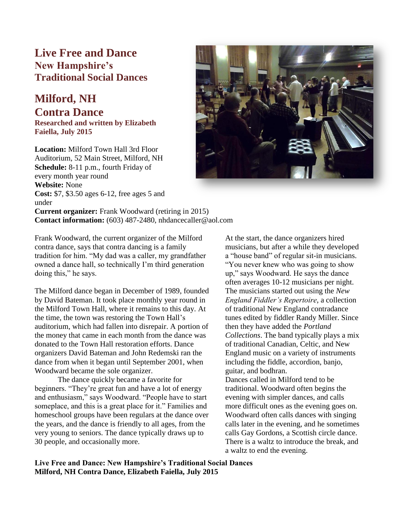## **Live Free and Dance New Hampshire's Traditional Social Dances**

## **Milford, NH Contra Dance**

**Researched and written by Elizabeth Faiella, July 2015**

**Location:** Milford Town Hall 3rd Floor Auditorium, 52 Main Street, Milford, NH **Schedule:** 8-11 p.m., fourth Friday of every month year round **Website:** None **Cost:** \$7, \$3.50 ages 6-12, free ages 5 and under **Current organizer:** Frank Woodward (retiring in 2015) **Contact information:** (603) 487-2480, nhdancecaller@aol.com



Frank Woodward, the current organizer of the Milford contra dance, says that contra dancing is a family tradition for him. "My dad was a caller, my grandfather owned a dance hall, so technically I'm third generation doing this," he says.

The Milford dance began in December of 1989, founded by David Bateman. It took place monthly year round in the Milford Town Hall, where it remains to this day. At the time, the town was restoring the Town Hall's auditorium, which had fallen into disrepair. A portion of the money that came in each month from the dance was donated to the Town Hall restoration efforts. Dance organizers David Bateman and John Redemski ran the dance from when it began until September 2001, when Woodward became the sole organizer.

The dance quickly became a favorite for beginners. "They're great fun and have a lot of energy and enthusiasm," says Woodward. "People have to start someplace, and this is a great place for it." Families and homeschool groups have been regulars at the dance over the years, and the dance is friendly to all ages, from the very young to seniors. The dance typically draws up to 30 people, and occasionally more.

At the start, the dance organizers hired musicians, but after a while they developed a "house band" of regular sit-in musicians. "You never knew who was going to show up," says Woodward. He says the dance often averages 10-12 musicians per night. The musicians started out using the *New England Fiddler's Repertoire*, a collection of traditional New England contradance tunes edited by fiddler Randy Miller. Since then they have added the *Portland Collections*. The band typically plays a mix of traditional Canadian, Celtic, and New England music on a variety of instruments including the fiddle, accordion, banjo, guitar, and bodhran.

Dances called in Milford tend to be traditional. Woodward often begins the evening with simpler dances, and calls more difficult ones as the evening goes on. Woodward often calls dances with singing calls later in the evening, and he sometimes calls Gay Gordons, a Scottish circle dance. There is a waltz to introduce the break, and a waltz to end the evening.

**Live Free and Dance: New Hampshire's Traditional Social Dances Milford, NH Contra Dance, Elizabeth Faiella, July 2015**